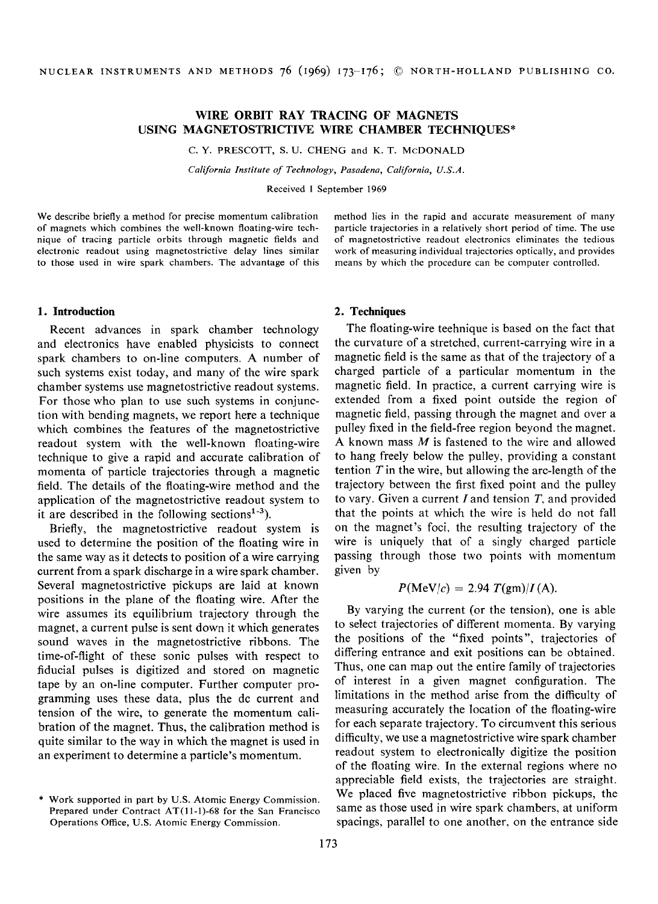# WIRE **ORBIT RAY TRACING OF** MAGNETS USING MAGNETOSTRICTIVE WIRE CHAMBER TECHNIQUES\*

C. Y. PRESCOTT, S.U. CHENG and K. T. McDONALD

*California Institute of Technology, Pasadena, California, U.S.A.* 

Received 1 September 1969

We describe briefly a method for precise momentum calibration of magnets which combines the well-known floating-wire technique of tracing particle orbits through magnetic fields and electronic readout using magnetostrictive delay lines similar to those used in wire spark chambers. The advantage of this

method lies in the rapid and accurate measurement of many particle trajectories in a relatively short period of time. The use of magnetostrictive readout electronics eliminates the tedious work of measuring individual trajectories optically, and provides means by which the procedure can be computer controlled.

### **1. Introduction**

Recent advances in spark chamber technology and electronics have enabled physicists to connect spark chambers to on-line computers. A number of such systems exist today, and many of the wire spark chamber systems use magnetostrictive readout systems. For those who plan to use such systems in conjunction with bending magnets, we report here a technique which combines the features of the magnetostrictive readout system with the well-known floating-wire technique to give a rapid and accurate calibration of momenta of particle trajectories through a magnetic field. The details of the floating-wire method and the application of the magnetostrictive readout system to it are described in the following sections $1-3$ ).

Briefly, the magnetostrictive readout system is used to determine the position of the floating wire in the same way as it detects to position of a wire carrying current from a spark discharge in a wire spark chamber. Several magnetostrictive pickups are laid at known positions in the plane of the floating wire. After the wire assumes its equilibrium trajectory through the magnet, a current pulse is sent down it which generates sound waves in the magnetostrictive ribbons. The time-of-flight of these sonic pulses with respect to fiducial pulses is digitized and stored on magnetic tape by an on-line computer. Further computer programming uses these data, plus the de current and tension of the wire, to generate the momentum calibration of the magnet. Thus, the calibration method is quite similar to the way in which the magnet is used in an experiment to determine a particle's momentum.

# **2. Techniques**

The floating-wire teehnique is based on the fact that the curvature of a stretched, current-carrying wire in a magnetic field is the same as that of the trajectory of a charged particle of a particular momentum in the magnetic field. In practice, a current carrying wire is extended from a fixed point outside the region of magnetic field, passing through the magnet and over a pulley fixed in the field-free region beyond the magnet. A known mass  $M$  is fastened to the wire and allowed to hang freely below the pulley, providing a constant tention  $T$  in the wire, but allowing the arc-length of the trajectory between the first fixed point and the pulley to vary. Given a current  $I$  and tension  $T$ , and provided that the points at which the wire is held do not fall on the magnet's foci, the resulting trajectory of the wire is uniquely that of a singly charged particle passing through those two points with momentum given by

$$
P(\text{MeV}/c) = 2.94 \text{ T(gm)}/I(\text{A}).
$$

By varying the current (or the tension), one is able to select trajectories of different momenta. By varying the positions of the "fixed points", trajectories of differing entrance and exit positions can be obtained. Thus, one can map out the entire family of trajectories of interest in a given magnet configuration. The limitations in the method arise from the difficulty of measuring accurately the location of the floating-wire for each separate trajectory. To circumvent this serious difficulty, we use a magnetostrictive wire spark chamber readout system to electronically digitize the position of the floating wire. In the external regions where no appreciable field exists, the trajectories are straight. We placed five magnetostrictive ribbon pickups, the same as those used in wire spark chambers, at uniform spacings, parallel to one another, on the entrance side

<sup>\*</sup> Work supported in part by U.S. Atomic Energy Commission. Prepared under Contract AT(11-1)-68 for the San Francisco Operations Office, U.S. Atomic Energy Commission.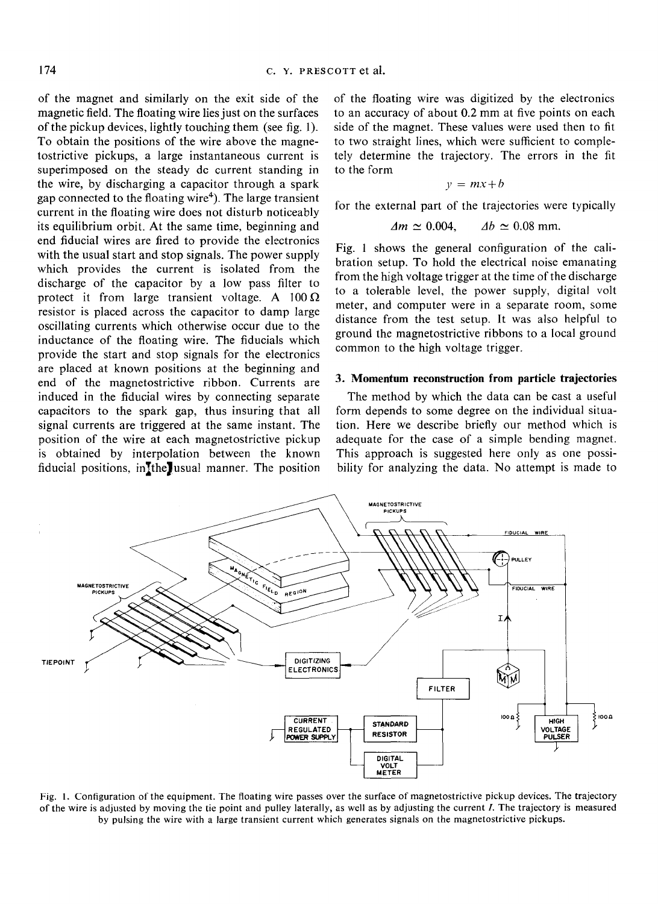of the magnet and similarly on the exit side of the magnetic field. The floating wire lies just on the surfaces of the pickup devices, lightly touching them (see fig. 1). To obtain the positions of the wire above the magnetostrictive pickups, a large instantaneous current is superimposed on the steady dc current standing in the wire, by discharging a capacitor through a spark gap connected to the floating wire<sup>4</sup>). The large transient current in the floating wire does not disturb noticeably its equilibrium orbit. At the same time, beginning and end fiducial wires are fired to provide the electronics with the usual start and stop signals. The power supply which provides the current is isolated from the discharge of the capacitor by a low pass filter to protect it from large transient voltage. A 100  $\Omega$ resistor is placed across the capacitor to damp large oscillating currents which otherwise occur due to the inductance of the floating wire. The fiducials which provide the start and stop signals for the electronics are placed at known positions at the beginning and end of the magnetostrictive ribbon. Currents are induced in the fiducial wires by connecting separate capacitors to the spark gap, thus insuring that all signal currents are triggered at the same instant. The position of the wire at each magnetostrictive pickup is obtained by interpolation between the known fiducial positions, in the usual manner. The position

of the floating wire was digitized by the electronics to an accuracy of about 0.2 mm at five points on each side of the magnet. These values were used then to fit to two straight lines, which were sufficient to completely determine the trajectory. The errors in the fit to the form

$$
y = mx + l
$$

for the external part of the trajectories were typically

$$
\Delta m \simeq 0.004, \qquad \Delta b \simeq 0.08 \text{ mm}.
$$

Fig. 1 shows the general configuration of the calibration setup. To hold the electrical noise emanating from the high voltage trigger at the time of the discharge to a tolerable level, the power supply, digital volt meter, and computer were in a separate room, some distance from the test setup. It was also helpful to ground the magnetostrictive ribbons to a local ground common to the high voltage trigger.

### **3. Momentum reconstruction from particle trajectories**

The method by which the data can be cast a useful form depends to some degree on the individual situation. Here we describe briefly our method which is adequate for the case of a simple bending magnet. This approach is suggested here only as one possibility for analyzing the data. No attempt is made to



Fig. 1. Configuration of the equipment. The floating wire passes over the surface of magnetostrictive pickup devices. The trajectory of the wire is adjusted by moving the tie point and pulley laterally, as well as by adjusting the current L The trajectory is **measured**  by pulsing the wire with a large transient current which generates signals on the magnetostrictive pickups.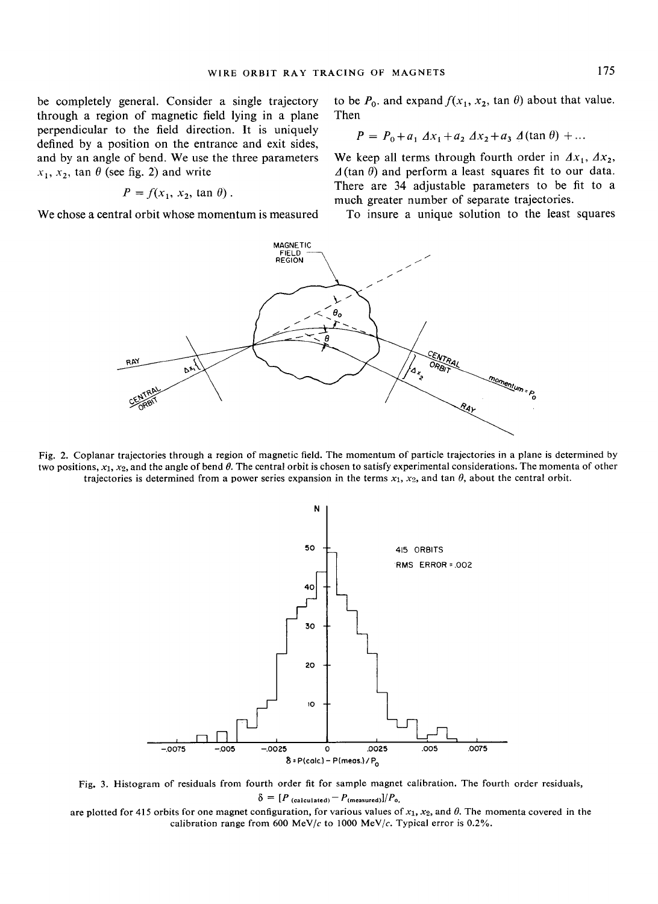**be completely general. Consider a single trajectory through a region of magnetic field lying in a plane perpendicular to the field direction. It is uniquely defined by a position on the entrance and exit sides, and by an angle of bend. We use the three parameters**   $x_1, x_2$ , tan  $\theta$  (see fig. 2) and write

$$
P = f(x_1, x_2, \tan \theta).
$$

**We chose a central orbit whose momentum is measured** 

to be  $P_0$ , and expand  $f(x_1, x_2, \tan \theta)$  about that value. **Then** 

$$
P = P_0 + a_1 \Delta x_1 + a_2 \Delta x_2 + a_3 \Delta (\tan \theta) + \dots
$$

We keep all terms through fourth order in  $\Delta x_1$ ,  $\Delta x_2$ ,  $\Delta$ (tan  $\theta$ ) and perform a least squares fit to our data. **There are 34 adjustable parameters to be fit to a much greater number of separate trajectories.** 

**To insure a unique solution to the least squares** 



Fig. 2. Coplanar trajectories through a region of magnetic field. The momentum of particle trajectories in a plane is **determined by**  two positions,  $x_1$ ,  $x_2$ , and the angle of bend  $\theta$ . The central orbit is chosen to satisfy experimental considerations. The momenta of other trajectories is determined from a power series expansion in the terms  $x_1$ ,  $x_2$ , and tan  $\theta$ , about the central orbit.



Fig. 3. Histogram of residuals from fourth order fit for sample magnet calibration. The fourth order residuals,  $\delta = [P_{\text{(calculated)}}-P_{\text{(measured)}}]/P_{\text{o}}$ 

are plotted for 415 orbits for one magnet configuration, for various values of  $x_1$ ,  $x_2$ , and  $\theta$ . The momenta covered in the calibration range from 600 MeV/c to 1000 MeV/c. Typical error is  $0.2\%$ .